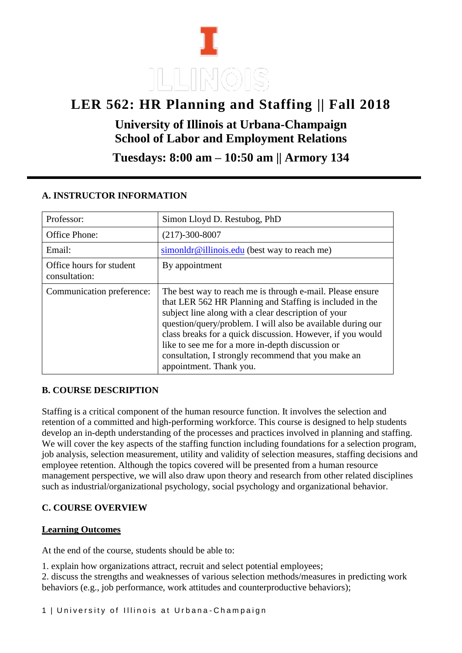# **LER 562: HR Planning and Staffing || Fall 2018**

**University of Illinois at Urbana-Champaign School of Labor and Employment Relations** 

**Tuesdays: 8:00 am – 10:50 am || Armory 134**

| Professor:                                | Simon Lloyd D. Restubog, PhD                                                                                                                                                                                                                                                                                                                                                                                                                    |
|-------------------------------------------|-------------------------------------------------------------------------------------------------------------------------------------------------------------------------------------------------------------------------------------------------------------------------------------------------------------------------------------------------------------------------------------------------------------------------------------------------|
| Office Phone:                             | $(217)-300-8007$                                                                                                                                                                                                                                                                                                                                                                                                                                |
| Email:                                    | $simondr@illinois.edu$ (best way to reach me)                                                                                                                                                                                                                                                                                                                                                                                                   |
| Office hours for student<br>consultation: | By appointment                                                                                                                                                                                                                                                                                                                                                                                                                                  |
| Communication preference:                 | The best way to reach me is through e-mail. Please ensure<br>that LER 562 HR Planning and Staffing is included in the<br>subject line along with a clear description of your<br>question/query/problem. I will also be available during our<br>class breaks for a quick discussion. However, if you would<br>like to see me for a more in-depth discussion or<br>consultation, I strongly recommend that you make an<br>appointment. Thank you. |

# **A. INSTRUCTOR INFORMATION**

# **B. COURSE DESCRIPTION**

Staffing is a critical component of the human resource function. It involves the selection and retention of a committed and high-performing workforce. This course is designed to help students develop an in-depth understanding of the processes and practices involved in planning and staffing. We will cover the key aspects of the staffing function including foundations for a selection program, job analysis, selection measurement, utility and validity of selection measures, staffing decisions and employee retention. Although the topics covered will be presented from a human resource management perspective, we will also draw upon theory and research from other related disciplines such as industrial/organizational psychology, social psychology and organizational behavior.

# **C. COURSE OVERVIEW**

# **Learning Outcomes**

At the end of the course, students should be able to:

1. explain how organizations attract, recruit and select potential employees;

2. discuss the strengths and weaknesses of various selection methods/measures in predicting work behaviors (e.g., job performance, work attitudes and counterproductive behaviors);

1 | University of Illinois at Urbana-Champaign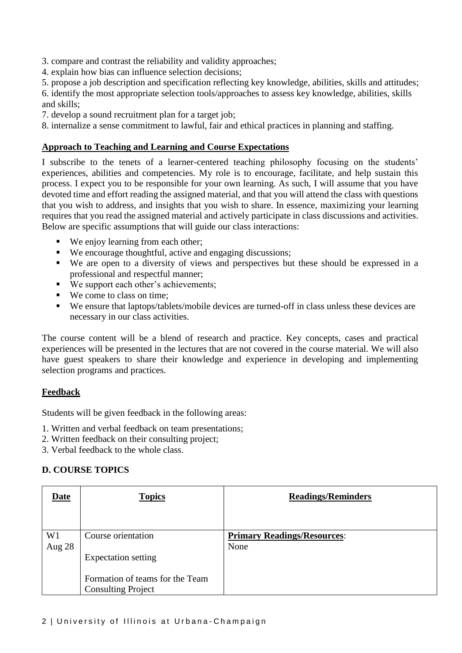3. compare and contrast the reliability and validity approaches;

- 4. explain how bias can influence selection decisions;
- 5. propose a job description and specification reflecting key knowledge, abilities, skills and attitudes;

6. identify the most appropriate selection tools/approaches to assess key knowledge, abilities, skills and skills;

- 7. develop a sound recruitment plan for a target job;
- 8. internalize a sense commitment to lawful, fair and ethical practices in planning and staffing.

#### **Approach to Teaching and Learning and Course Expectations**

I subscribe to the tenets of a learner-centered teaching philosophy focusing on the students' experiences, abilities and competencies. My role is to encourage, facilitate, and help sustain this process. I expect you to be responsible for your own learning. As such, I will assume that you have devoted time and effort reading the assigned material, and that you will attend the class with questions that you wish to address, and insights that you wish to share. In essence, maximizing your learning requires that you read the assigned material and actively participate in class discussions and activities. Below are specific assumptions that will guide our class interactions:

- We enjoy learning from each other;
- We encourage thoughtful, active and engaging discussions;
- We are open to a diversity of views and perspectives but these should be expressed in a professional and respectful manner;
- We support each other's achievements:
- We come to class on time;
- We ensure that laptops/tablets/mobile devices are turned-off in class unless these devices are necessary in our class activities.

The course content will be a blend of research and practice. Key concepts, cases and practical experiences will be presented in the lectures that are not covered in the course material. We will also have guest speakers to share their knowledge and experience in developing and implementing selection programs and practices.

#### **Feedback**

Students will be given feedback in the following areas:

- 1. Written and verbal feedback on team presentations;
- 2. Written feedback on their consulting project;
- 3. Verbal feedback to the whole class.

#### **D. COURSE TOPICS**

| <u>Date</u>    | <b>Topics</b>                   | <b>Readings/Reminders</b>          |
|----------------|---------------------------------|------------------------------------|
|                |                                 |                                    |
| W <sub>1</sub> | Course orientation              | <b>Primary Readings/Resources:</b> |
| Aug 28         |                                 | None                               |
|                | <b>Expectation setting</b>      |                                    |
|                |                                 |                                    |
|                | Formation of teams for the Team |                                    |
|                | <b>Consulting Project</b>       |                                    |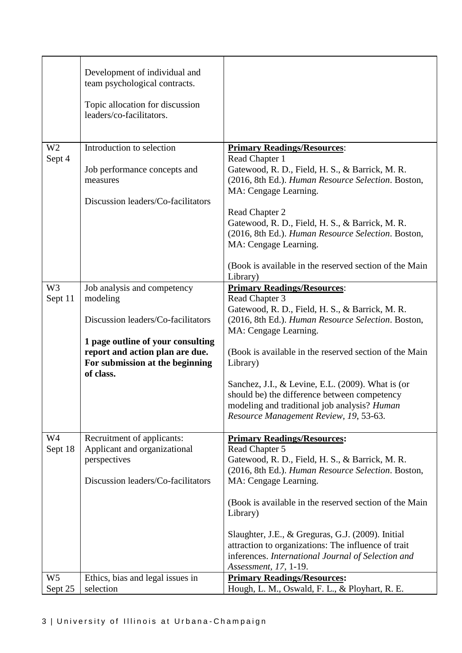|                           | Development of individual and<br>team psychological contracts.<br>Topic allocation for discussion<br>leaders/co-facilitators.                                                                         |                                                                                                                                                                                                                                                                                                                                                                                                                                                                    |
|---------------------------|-------------------------------------------------------------------------------------------------------------------------------------------------------------------------------------------------------|--------------------------------------------------------------------------------------------------------------------------------------------------------------------------------------------------------------------------------------------------------------------------------------------------------------------------------------------------------------------------------------------------------------------------------------------------------------------|
| W <sub>2</sub><br>Sept 4  | Introduction to selection<br>Job performance concepts and<br>measures<br>Discussion leaders/Co-facilitators                                                                                           | <b>Primary Readings/Resources:</b><br>Read Chapter 1<br>Gatewood, R. D., Field, H. S., & Barrick, M. R.<br>(2016, 8th Ed.). Human Resource Selection. Boston,<br>MA: Cengage Learning.<br>Read Chapter 2<br>Gatewood, R. D., Field, H. S., & Barrick, M. R.<br>(2016, 8th Ed.). Human Resource Selection. Boston,<br>MA: Cengage Learning.<br>(Book is available in the reserved section of the Main<br>Library)                                                   |
| W <sub>3</sub><br>Sept 11 | Job analysis and competency<br>modeling<br>Discussion leaders/Co-facilitators<br>1 page outline of your consulting<br>report and action plan are due.<br>For submission at the beginning<br>of class. | <b>Primary Readings/Resources:</b><br>Read Chapter 3<br>Gatewood, R. D., Field, H. S., & Barrick, M. R.<br>(2016, 8th Ed.). Human Resource Selection. Boston,<br>MA: Cengage Learning.<br>(Book is available in the reserved section of the Main<br>Library)<br>Sanchez, J.I., & Levine, E.L. (2009). What is (or<br>should be) the difference between competency<br>modeling and traditional job analysis? <i>Human</i><br>Resource Management Review, 19, 53-63. |
| W4<br>Sept 18             | Recruitment of applicants:<br>Applicant and organizational<br>perspectives<br>Discussion leaders/Co-facilitators                                                                                      | <b>Primary Readings/Resources:</b><br>Read Chapter 5<br>Gatewood, R. D., Field, H. S., & Barrick, M. R.<br>(2016, 8th Ed.). Human Resource Selection. Boston,<br>MA: Cengage Learning.<br>(Book is available in the reserved section of the Main<br>Library)<br>Slaughter, J.E., & Greguras, G.J. (2009). Initial<br>attraction to organizations: The influence of trait<br>inferences. International Journal of Selection and<br>Assessment, 17, 1-19.            |
| W <sub>5</sub><br>Sept 25 | Ethics, bias and legal issues in<br>selection                                                                                                                                                         | <b>Primary Readings/Resources:</b><br>Hough, L. M., Oswald, F. L., & Ployhart, R. E.                                                                                                                                                                                                                                                                                                                                                                               |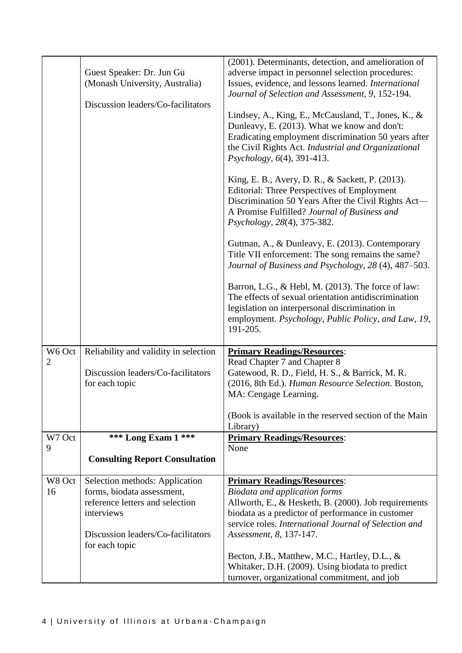|                |                                               | (2001). Determinants, detection, and amelioration of                                                |
|----------------|-----------------------------------------------|-----------------------------------------------------------------------------------------------------|
|                | Guest Speaker: Dr. Jun Gu                     | adverse impact in personnel selection procedures:                                                   |
|                | (Monash University, Australia)                | Issues, evidence, and lessons learned. International                                                |
|                |                                               |                                                                                                     |
|                | Discussion leaders/Co-facilitators            | Journal of Selection and Assessment, 9, 152-194.                                                    |
|                |                                               |                                                                                                     |
|                |                                               | Lindsey, A., King, E., McCausland, T., Jones, K., &<br>Dunleavy, E. (2013). What we know and don't: |
|                |                                               |                                                                                                     |
|                |                                               | Eradicating employment discrimination 50 years after                                                |
|                |                                               | the Civil Rights Act. Industrial and Organizational                                                 |
|                |                                               | Psychology, 6(4), 391-413.                                                                          |
|                |                                               |                                                                                                     |
|                |                                               | King, E. B., Avery, D. R., & Sackett, P. (2013).                                                    |
|                |                                               | <b>Editorial: Three Perspectives of Employment</b>                                                  |
|                |                                               | Discrimination 50 Years After the Civil Rights Act-                                                 |
|                |                                               | A Promise Fulfilled? Journal of Business and                                                        |
|                |                                               | Psychology, 28(4), 375-382.                                                                         |
|                |                                               | Gutman, A., & Dunleavy, E. (2013). Contemporary                                                     |
|                |                                               | Title VII enforcement: The song remains the same?                                                   |
|                |                                               | Journal of Business and Psychology, 28 (4), 487–503.                                                |
|                |                                               |                                                                                                     |
|                |                                               | Barron, L.G., & Hebl, M. (2013). The force of law:                                                  |
|                |                                               | The effects of sexual orientation antidiscrimination                                                |
|                |                                               | legislation on interpersonal discrimination in                                                      |
|                |                                               | employment. Psychology, Public Policy, and Law, 19,                                                 |
|                |                                               |                                                                                                     |
|                |                                               | 191-205.                                                                                            |
|                |                                               |                                                                                                     |
| W6 Oct         | Reliability and validity in selection         | <b>Primary Readings/Resources:</b>                                                                  |
| $\overline{2}$ |                                               | Read Chapter 7 and Chapter 8                                                                        |
|                | Discussion leaders/Co-facilitators            | Gatewood, R. D., Field, H. S., & Barrick, M. R.                                                     |
|                | for each topic                                | (2016, 8th Ed.). Human Resource Selection. Boston,                                                  |
|                |                                               | MA: Cengage Learning.                                                                               |
|                |                                               |                                                                                                     |
|                |                                               | (Book is available in the reserved section of the Main                                              |
|                |                                               | Library)                                                                                            |
| W7 Oct         | *** Long Exam 1 ***                           | <b>Primary Readings/Resources:</b>                                                                  |
| 9              |                                               | None                                                                                                |
|                | <b>Consulting Report Consultation</b>         |                                                                                                     |
|                |                                               |                                                                                                     |
| W8 Oct<br>16   | Selection methods: Application                | <b>Primary Readings/Resources:</b>                                                                  |
|                | forms, biodata assessment,                    | <b>Biodata and application forms</b>                                                                |
|                | reference letters and selection<br>interviews | Allworth, E., & Hesketh, B. (2000). Job requirements                                                |
|                |                                               | biodata as a predictor of performance in customer                                                   |
|                |                                               | service roles. International Journal of Selection and                                               |
|                | Discussion leaders/Co-facilitators            | Assessment, 8, 137-147.                                                                             |
|                | for each topic                                |                                                                                                     |
|                |                                               | Becton, J.B., Matthew, M.C., Hartley, D.L., &                                                       |
|                |                                               | Whitaker, D.H. (2009). Using biodata to predict<br>turnover, organizational commitment, and job     |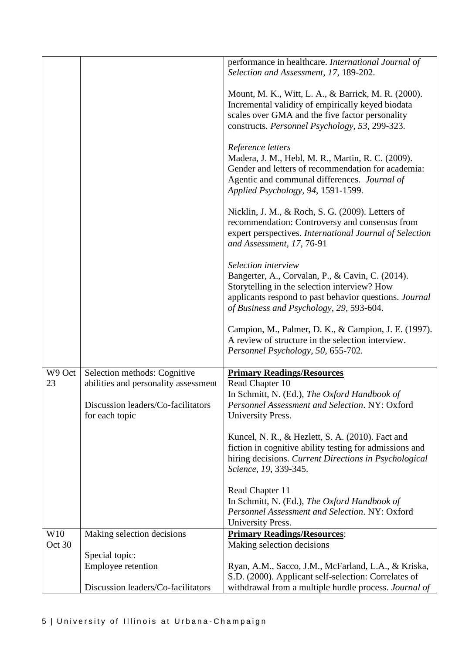|        |                                                      | performance in healthcare. International Journal of<br>Selection and Assessment, 17, 189-202.                                                                                                                                 |
|--------|------------------------------------------------------|-------------------------------------------------------------------------------------------------------------------------------------------------------------------------------------------------------------------------------|
|        |                                                      | Mount, M. K., Witt, L. A., & Barrick, M. R. (2000).<br>Incremental validity of empirically keyed biodata<br>scales over GMA and the five factor personality<br>constructs. Personnel Psychology, 53, 299-323.                 |
|        |                                                      | Reference letters<br>Madera, J. M., Hebl, M. R., Martin, R. C. (2009).<br>Gender and letters of recommendation for academia:<br>Agentic and communal differences. Journal of<br>Applied Psychology, 94, 1591-1599.            |
|        |                                                      | Nicklin, J. M., & Roch, S. G. (2009). Letters of<br>recommendation: Controversy and consensus from<br>expert perspectives. International Journal of Selection<br>and Assessment, 17, 76-91                                    |
|        |                                                      | Selection interview<br>Bangerter, A., Corvalan, P., & Cavin, C. (2014).<br>Storytelling in the selection interview? How<br>applicants respond to past behavior questions. Journal<br>of Business and Psychology, 29, 593-604. |
|        |                                                      | Campion, M., Palmer, D. K., & Campion, J. E. (1997).<br>A review of structure in the selection interview.<br>Personnel Psychology, 50, 655-702.                                                                               |
| W9 Oct | Selection methods: Cognitive                         | <b>Primary Readings/Resources</b>                                                                                                                                                                                             |
| 23     | abilities and personality assessment                 | Read Chapter 10                                                                                                                                                                                                               |
|        |                                                      | In Schmitt, N. (Ed.), The Oxford Handbook of                                                                                                                                                                                  |
|        | Discussion leaders/Co-facilitators<br>for each topic | Personnel Assessment and Selection. NY: Oxford<br>University Press.                                                                                                                                                           |
|        |                                                      | Kuncel, N. R., & Hezlett, S. A. (2010). Fact and<br>fiction in cognitive ability testing for admissions and<br>hiring decisions. Current Directions in Psychological<br>Science, 19, 339-345.                                 |
|        |                                                      | Read Chapter 11                                                                                                                                                                                                               |
|        |                                                      | In Schmitt, N. (Ed.), The Oxford Handbook of                                                                                                                                                                                  |
|        |                                                      | Personnel Assessment and Selection. NY: Oxford                                                                                                                                                                                |
|        |                                                      | University Press.                                                                                                                                                                                                             |
| W10    | Making selection decisions                           | <b>Primary Readings/Resources:</b>                                                                                                                                                                                            |
| Oct 30 |                                                      | Making selection decisions                                                                                                                                                                                                    |
|        | Special topic:                                       |                                                                                                                                                                                                                               |
|        | Employee retention                                   | Ryan, A.M., Sacco, J.M., McFarland, L.A., & Kriska,                                                                                                                                                                           |
|        | Discussion leaders/Co-facilitators                   | S.D. (2000). Applicant self-selection: Correlates of                                                                                                                                                                          |
|        |                                                      | withdrawal from a multiple hurdle process. Journal of                                                                                                                                                                         |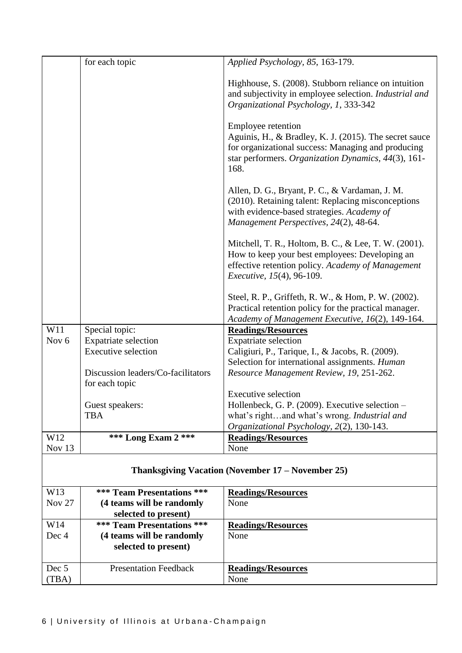| W14              | *** Team Presentations ***         | <b>Readings/Resources</b>                                                                                                                                                   |
|------------------|------------------------------------|-----------------------------------------------------------------------------------------------------------------------------------------------------------------------------|
|                  | selected to present)               |                                                                                                                                                                             |
| <b>Nov 27</b>    | (4 teams will be randomly          | None                                                                                                                                                                        |
| W13              | <b>*** Team Presentations ***</b>  | <b>Readings/Resources</b>                                                                                                                                                   |
|                  |                                    | Thanksgiving Vacation (November 17 – November 25)                                                                                                                           |
| Nov 13           |                                    | None                                                                                                                                                                        |
| W12              | *** Long Exam 2 ***                | <b>Readings/Resources</b>                                                                                                                                                   |
|                  |                                    | Organizational Psychology, 2(2), 130-143.                                                                                                                                   |
|                  | <b>TBA</b>                         | what's rightand what's wrong. Industrial and                                                                                                                                |
|                  | Guest speakers:                    | Hollenbeck, G. P. (2009). Executive selection -                                                                                                                             |
|                  |                                    | <b>Executive selection</b>                                                                                                                                                  |
|                  | for each topic                     |                                                                                                                                                                             |
|                  | Discussion leaders/Co-facilitators | Selection for international assignments. Human<br>Resource Management Review, 19, 251-262.                                                                                  |
|                  | <b>Executive selection</b>         | Caligiuri, P., Tarique, I., & Jacobs, R. (2009).                                                                                                                            |
| Nov <sub>6</sub> | <b>Expatriate selection</b>        | <b>Expatriate selection</b>                                                                                                                                                 |
| W11              | Special topic:                     | <b>Readings/Resources</b>                                                                                                                                                   |
|                  |                                    | Academy of Management Executive, 16(2), 149-164.                                                                                                                            |
|                  |                                    | Steel, R. P., Griffeth, R. W., & Hom, P. W. (2002).<br>Practical retention policy for the practical manager.                                                                |
|                  |                                    | <i>Executive, 15(4), 96-109.</i>                                                                                                                                            |
|                  |                                    | effective retention policy. Academy of Management                                                                                                                           |
|                  |                                    | How to keep your best employees: Developing an                                                                                                                              |
|                  |                                    | Mitchell, T. R., Holtom, B. C., & Lee, T. W. (2001).                                                                                                                        |
|                  |                                    | with evidence-based strategies. Academy of<br>Management Perspectives, 24(2), 48-64.                                                                                        |
|                  |                                    | Allen, D. G., Bryant, P. C., & Vardaman, J. M.<br>(2010). Retaining talent: Replacing misconceptions                                                                        |
|                  |                                    |                                                                                                                                                                             |
|                  |                                    | Aguinis, H., & Bradley, K. J. (2015). The secret sauce<br>for organizational success: Managing and producing<br>star performers. Organization Dynamics, 44(3), 161-<br>168. |
|                  |                                    | Employee retention                                                                                                                                                          |
|                  |                                    | Highhouse, S. (2008). Stubborn reliance on intuition<br>and subjectivity in employee selection. Industrial and<br>Organizational Psychology, 1, 333-342                     |
|                  | for each topic                     | Applied Psychology, 85, 163-179.                                                                                                                                            |
|                  |                                    |                                                                                                                                                                             |

None

**(4 teams will be randomly** 

Dec 4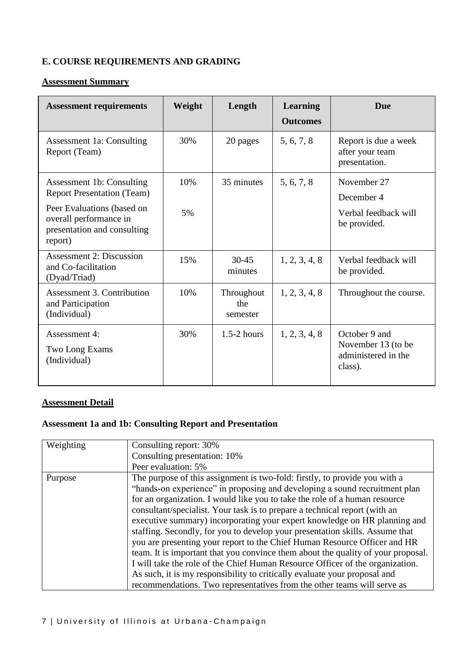# **E. COURSE REQUIREMENTS AND GRADING**

#### **Assessment Summary**

| <b>Assessment requirements</b>                                                                                                                                   | Weight    | Length                        | Learning<br><b>Outcomes</b> | <b>Due</b>                                                            |
|------------------------------------------------------------------------------------------------------------------------------------------------------------------|-----------|-------------------------------|-----------------------------|-----------------------------------------------------------------------|
| <b>Assessment 1a: Consulting</b><br>Report (Team)                                                                                                                | 30%       | 20 pages                      | 5, 6, 7, 8                  | Report is due a week<br>after your team<br>presentation.              |
| Assessment 1b: Consulting<br><b>Report Presentation (Team)</b><br>Peer Evaluations (based on<br>overall performance in<br>presentation and consulting<br>report) | 10%<br>5% | 35 minutes                    | 5, 6, 7, 8                  | November 27<br>December 4<br>Verbal feedback will<br>be provided.     |
| <b>Assessment 2: Discussion</b><br>and Co-facilitation<br>(Dyad/Triad)                                                                                           | 15%       | $30 - 45$<br>minutes          | 1, 2, 3, 4, 8               | Verbal feedback will<br>be provided.                                  |
| Assessment 3. Contribution<br>and Participation<br>(Individual)                                                                                                  | 10%       | Throughout<br>the<br>semester | 1, 2, 3, 4, 8               | Throughout the course.                                                |
| Assessment 4:<br>Two Long Exams<br>(Individual)                                                                                                                  | 30%       | $1.5-2$ hours                 | 1, 2, 3, 4, 8               | October 9 and<br>November 13 (to be<br>administered in the<br>class). |

#### **Assessment Detail**

# **Assessment 1a and 1b: Consulting Report and Presentation**

| Weighting | Consulting report: 30%                                                           |
|-----------|----------------------------------------------------------------------------------|
|           | Consulting presentation: 10%                                                     |
|           | Peer evaluation: 5%                                                              |
| Purpose   | The purpose of this assignment is two-fold: firstly, to provide you with a       |
|           | "hands-on experience" in proposing and developing a sound recruitment plan       |
|           | for an organization. I would like you to take the role of a human resource       |
|           | consultant/specialist. Your task is to prepare a technical report (with an       |
|           | executive summary) incorporating your expert knowledge on HR planning and        |
|           | staffing. Secondly, for you to develop your presentation skills. Assume that     |
|           | you are presenting your report to the Chief Human Resource Officer and HR        |
|           | team. It is important that you convince them about the quality of your proposal. |
|           | I will take the role of the Chief Human Resource Officer of the organization.    |
|           | As such, it is my responsibility to critically evaluate your proposal and        |
|           | recommendations. Two representatives from the other teams will serve as          |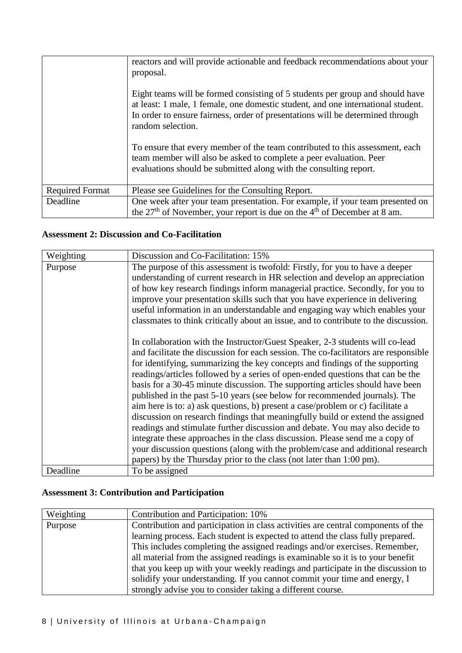|                        | reactors and will provide actionable and feedback recommendations about your<br>proposal.<br>Eight teams will be formed consisting of 5 students per group and should have<br>at least: 1 male, 1 female, one domestic student, and one international student.<br>In order to ensure fairness, order of presentations will be determined through<br>random selection.<br>To ensure that every member of the team contributed to this assessment, each<br>team member will also be asked to complete a peer evaluation. Peer<br>evaluations should be submitted along with the consulting report. |
|------------------------|--------------------------------------------------------------------------------------------------------------------------------------------------------------------------------------------------------------------------------------------------------------------------------------------------------------------------------------------------------------------------------------------------------------------------------------------------------------------------------------------------------------------------------------------------------------------------------------------------|
| <b>Required Format</b> | Please see Guidelines for the Consulting Report.                                                                                                                                                                                                                                                                                                                                                                                                                                                                                                                                                 |
| Deadline               | One week after your team presentation. For example, if your team presented on<br>the 27 <sup>th</sup> of November, your report is due on the 4 <sup>th</sup> of December at 8 am.                                                                                                                                                                                                                                                                                                                                                                                                                |

### **Assessment 2: Discussion and Co-Facilitation**

| Weighting | Discussion and Co-Facilitation: 15%                                                                                                                                                                                                                                                                                                                                                                                                                                                                                                                                                                                                                                       |
|-----------|---------------------------------------------------------------------------------------------------------------------------------------------------------------------------------------------------------------------------------------------------------------------------------------------------------------------------------------------------------------------------------------------------------------------------------------------------------------------------------------------------------------------------------------------------------------------------------------------------------------------------------------------------------------------------|
| Purpose   | The purpose of this assessment is twofold: Firstly, for you to have a deeper                                                                                                                                                                                                                                                                                                                                                                                                                                                                                                                                                                                              |
|           | understanding of current research in HR selection and develop an appreciation                                                                                                                                                                                                                                                                                                                                                                                                                                                                                                                                                                                             |
|           | of how key research findings inform managerial practice. Secondly, for you to                                                                                                                                                                                                                                                                                                                                                                                                                                                                                                                                                                                             |
|           | improve your presentation skills such that you have experience in delivering                                                                                                                                                                                                                                                                                                                                                                                                                                                                                                                                                                                              |
|           | useful information in an understandable and engaging way which enables your                                                                                                                                                                                                                                                                                                                                                                                                                                                                                                                                                                                               |
|           | classmates to think critically about an issue, and to contribute to the discussion.                                                                                                                                                                                                                                                                                                                                                                                                                                                                                                                                                                                       |
|           | In collaboration with the Instructor/Guest Speaker, 2-3 students will co-lead<br>and facilitate the discussion for each session. The co-facilitators are responsible<br>for identifying, summarizing the key concepts and findings of the supporting<br>readings/articles followed by a series of open-ended questions that can be the<br>basis for a 30-45 minute discussion. The supporting articles should have been<br>published in the past 5-10 years (see below for recommended journals). The<br>aim here is to: a) ask questions, b) present a case/problem or c) facilitate a<br>discussion on research findings that meaningfully build or extend the assigned |
|           | readings and stimulate further discussion and debate. You may also decide to<br>integrate these approaches in the class discussion. Please send me a copy of                                                                                                                                                                                                                                                                                                                                                                                                                                                                                                              |
|           | your discussion questions (along with the problem/case and additional research                                                                                                                                                                                                                                                                                                                                                                                                                                                                                                                                                                                            |
|           | papers) by the Thursday prior to the class (not later than 1:00 pm).                                                                                                                                                                                                                                                                                                                                                                                                                                                                                                                                                                                                      |
| Deadline  | To be assigned                                                                                                                                                                                                                                                                                                                                                                                                                                                                                                                                                                                                                                                            |

# **Assessment 3: Contribution and Participation**

| Weighting | Contribution and Participation: 10%                                              |
|-----------|----------------------------------------------------------------------------------|
| Purpose   | Contribution and participation in class activities are central components of the |
|           | learning process. Each student is expected to attend the class fully prepared.   |
|           | This includes completing the assigned readings and/or exercises. Remember,       |
|           | all material from the assigned readings is examinable so it is to your benefit   |
|           | that you keep up with your weekly readings and participate in the discussion to  |
|           | solidify your understanding. If you cannot commit your time and energy, I        |
|           | strongly advise you to consider taking a different course.                       |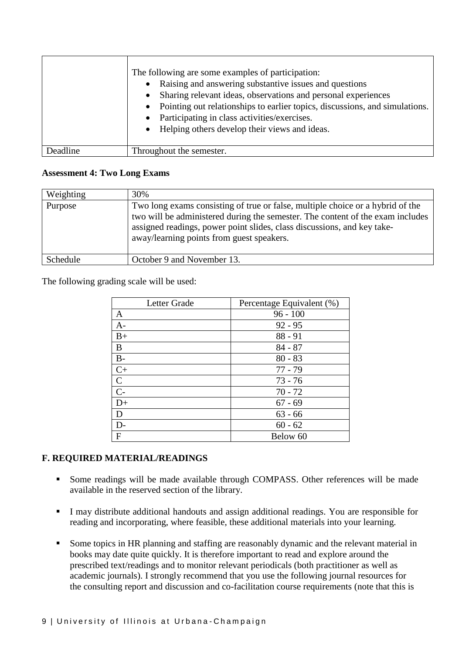|          | The following are some examples of participation:<br>Raising and answering substantive issues and questions<br>$\bullet$<br>Sharing relevant ideas, observations and personal experiences<br>$\bullet$<br>Pointing out relationships to earlier topics, discussions, and simulations.<br>$\bullet$<br>Participating in class activities/exercises.<br>$\bullet$<br>Helping others develop their views and ideas.<br>$\bullet$ |
|----------|-------------------------------------------------------------------------------------------------------------------------------------------------------------------------------------------------------------------------------------------------------------------------------------------------------------------------------------------------------------------------------------------------------------------------------|
| Deadline | Throughout the semester.                                                                                                                                                                                                                                                                                                                                                                                                      |

#### **Assessment 4: Two Long Exams**

| Weighting | 30%                                                                                                                                                                                                                                                                                      |
|-----------|------------------------------------------------------------------------------------------------------------------------------------------------------------------------------------------------------------------------------------------------------------------------------------------|
| Purpose   | Two long exams consisting of true or false, multiple choice or a hybrid of the<br>two will be administered during the semester. The content of the exam includes<br>assigned readings, power point slides, class discussions, and key take-<br>away/learning points from guest speakers. |
| Schedule  | October 9 and November 13.                                                                                                                                                                                                                                                               |

The following grading scale will be used:

| Letter Grade   | Percentage Equivalent (%) |
|----------------|---------------------------|
| A              | $96 - 100$                |
| $A-$           | $92 - 95$                 |
| $B+$           | $88 - 91$                 |
| B              | $84 - 87$                 |
| $B-$           | $80 - 83$                 |
| $C+$           | $77 - 79$                 |
| $\mathcal{C}$  | $73 - 76$                 |
| $\overline{C}$ | $70 - 72$                 |
| $D+$           | $67 - 69$                 |
| D              | $63 - 66$                 |
| $D-$           | $60 - 62$                 |
| F              | Below 60                  |

#### **F. REQUIRED MATERIAL/READINGS**

- Some readings will be made available through COMPASS. Other references will be made available in the reserved section of the library.
- I may distribute additional handouts and assign additional readings. You are responsible for reading and incorporating, where feasible, these additional materials into your learning.
- Some topics in HR planning and staffing are reasonably dynamic and the relevant material in books may date quite quickly. It is therefore important to read and explore around the prescribed text/readings and to monitor relevant periodicals (both practitioner as well as academic journals). I strongly recommend that you use the following journal resources for the consulting report and discussion and co-facilitation course requirements (note that this is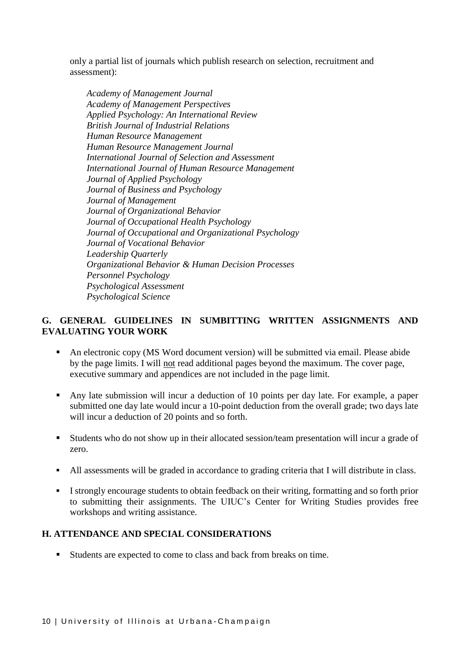only a partial list of journals which publish research on selection, recruitment and assessment):

*Academy of Management Journal Academy of Management Perspectives Applied Psychology: An International Review British Journal of Industrial Relations Human Resource Management Human Resource Management Journal International Journal of Selection and Assessment International Journal of Human Resource Management Journal of Applied Psychology Journal of Business and Psychology Journal of Management Journal of Organizational Behavior Journal of Occupational Health Psychology Journal of Occupational and Organizational Psychology Journal of Vocational Behavior Leadership Quarterly Organizational Behavior & Human Decision Processes Personnel Psychology Psychological Assessment Psychological Science*

#### **G. GENERAL GUIDELINES IN SUMBITTING WRITTEN ASSIGNMENTS AND EVALUATING YOUR WORK**

- An electronic copy (MS Word document version) will be submitted via email. Please abide by the page limits. I will not read additional pages beyond the maximum. The cover page, executive summary and appendices are not included in the page limit.
- Any late submission will incur a deduction of 10 points per day late. For example, a paper submitted one day late would incur a 10-point deduction from the overall grade; two days late will incur a deduction of 20 points and so forth.
- Students who do not show up in their allocated session/team presentation will incur a grade of zero.
- All assessments will be graded in accordance to grading criteria that I will distribute in class.
- I strongly encourage students to obtain feedback on their writing, formatting and so forth prior to submitting their assignments. The UIUC's Center for Writing Studies provides free workshops and writing assistance.

#### **H. ATTENDANCE AND SPECIAL CONSIDERATIONS**

Students are expected to come to class and back from breaks on time.